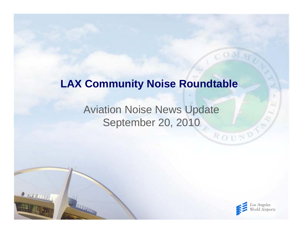#### **LAX Community Noise Roundtable**

#### Aviation Noise News Update September 20, 2010

 $2.4444111$ 



ROUND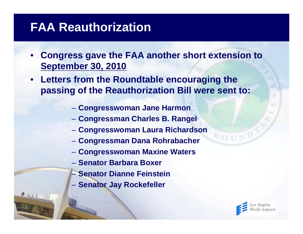## **FAA Reauthorization**

- **Congress gave the FAA another short extension to September 30, 2010**
- **Letters from the Roundtable encouraging the passing of the Reauthorization Bill were sent to:**
	- **Congresswoman Jane Harmon**
	- **Congressman Charles B. Rangel**
	- **Congresswoman Laura Richardson**
	- **Congressman Dana Rohrabacher**
	- **Congresswoman Maxine Waters**
	- **Senator Barbara Boxer**
	- **Senator Dianne Feinstein**
	- **Senator Jay Rockefeller**

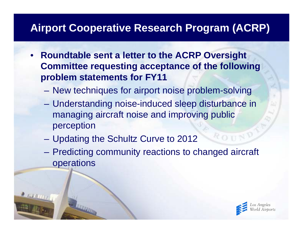### **Airport Cooperative Research Program (ACRP)**

- • **Roundtable sent a letter to the ACRP Oversight Committee requesting acceptance of the following problem statements for FY11**
	- **Hart Committee** New techniques for airport noise problem-solving
	- **Hart Community**  Understanding noise-induced sleep disturbance in managing aircraft noise and improving public perception
	- **Law Address Control** Updating the Schultz Curve to 2012
	- **Holland** Constitution Predicting community reactions to changed aircraft operations



ROUN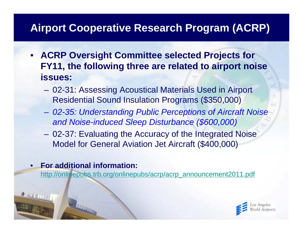### **Airport Cooperative Research Program (ACRP)**

- **ACRP Oversight Committee selected Projects for FY11, the following three are related to airport noise issues:**
	- **Hart Community**  02-31: Assessing Acoustical Materials Used in Airport Residential Sound Insulation Programs (\$350,000)
	- *02-35: Understanding Public Perceptions of Aircraft Noise and Noise-induced Sleep Disturbance (\$600,000)*
	- **Hart Committee**  02-37: Evaluating the Accuracy of the Integrated Noise Model for General Aviation Jet Aircraft (\$400,000)
- •**For additional information:**

[http://onlinepubs.trb.org/onlinepubs/acrp/acrp\\_announcement2011.pdf](http://onlinepubs.trb.org/onlinepubs/acrp/acrp_announcement2011.pdf)

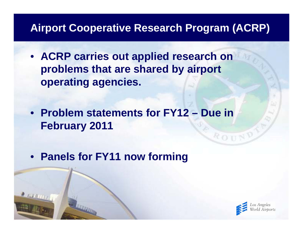### **Airport Cooperative Research Program (ACRP)**

- **ACRP carries out applied research on problems that are shared by airport operating agencies.**
- **Problem statements for FY12 – Due in February 2011**
- **Panels for FY11 now forming**



ROU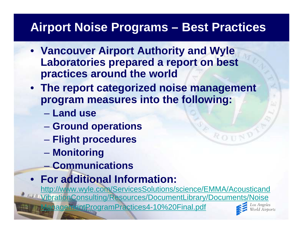# **Airport Noise Programs – Best Practices**

- **Vancouver Airport Authority and Wyle Laboratories prepared a report on best practices around the world**
- **The report categorized noise management program measures into the following:**
	- **Land use**
	- $\mathcal{L}_{\mathcal{A}}$  , and the set of  $\mathcal{L}_{\mathcal{A}}$ **Ground operations**
	- $\mathcal{L}_{\mathcal{A}}$  , and the set of  $\mathcal{L}_{\mathcal{A}}$ **Flight procedures**
	- $\mathcal{L}_{\mathcal{A}}$  , and the set of  $\mathcal{L}_{\mathcal{A}}$ **Monitoring**
	- **Communications**
- **For additional Information:**

[http://www.wyle.com/ServicesSolutions/science/EMMA/Acousticand](http://www.wyle.com/ServicesSolutions/science/EMMA/AcousticandVibrationConsulting/Resources/DocumentLibrary/Documents/NoiseManagementProgramPractices4-10 Final.pdf) [VibrationConsulting/Resources/DocumentLibrary/Documents/Noise](http://www.wyle.com/ServicesSolutions/science/EMMA/AcousticandVibrationConsulting/Resources/DocumentLibrary/Documents/NoiseManagementProgramPractices4-10 Final.pdf)

[ManagementProgramPractices4-10%20Final.pdf](http://www.wyle.com/ServicesSolutions/science/EMMA/AcousticandVibrationConsulting/Resources/DocumentLibrary/Documents/NoiseManagementProgramPractices4-10 Final.pdf)



ROUN